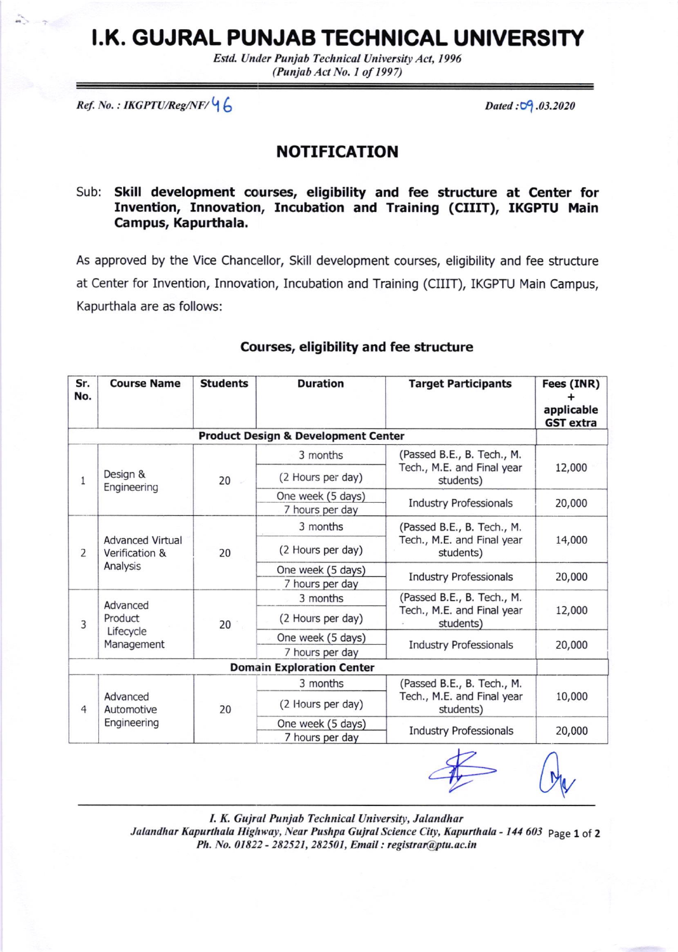# I.K. GUJRAL PUNJAB TECHNICAL UNIVERSITY

Estd. Under Punjab Technical University Act, 1996 (Punjob Act No. I of 1997)

 $Ref. No. : IKGPTU/Reg/NF/ \bigcup_{i=1}^{n} G_i$ 

### NOTIFICATION

#### Sub: Skill development counses, eligibility and fee structure at Center for Invention, Innovation, Incubation and Training (CIIIT), IKGPTU Main Campus, Kapurthala.

As approved by the Vice Chancellor, Skill development courses, eligibility and fee structure at Center for Invention, Innovation, Incubation and Training (CIIIT), IKGPTU Main Campus, Kapurthala are as follows:

| Sr.<br>No.     | <b>Course Name</b>                                    | <b>Students</b> | <b>Duration</b>                                | <b>Target Participants</b>                                            | Fees (INR)<br>applicable<br><b>GST</b> extra |
|----------------|-------------------------------------------------------|-----------------|------------------------------------------------|-----------------------------------------------------------------------|----------------------------------------------|
|                |                                                       |                 | <b>Product Design &amp; Development Center</b> |                                                                       |                                              |
| 1              | Design &<br>Engineering                               | 20              | 3 months                                       | (Passed B.E., B. Tech., M.<br>Tech., M.E. and Final year<br>students) | 12,000                                       |
|                |                                                       |                 | (2 Hours per day)                              |                                                                       |                                              |
|                |                                                       |                 | One week (5 days)                              | <b>Industry Professionals</b>                                         | 20,000                                       |
|                |                                                       |                 | 7 hours per day                                |                                                                       |                                              |
| $\overline{2}$ | <b>Advanced Virtual</b><br>Verification &<br>Analysis | 20              | 3 months                                       | (Passed B.E., B. Tech., M.<br>Tech., M.E. and Final year<br>students) | 14,000                                       |
|                |                                                       |                 | (2 Hours per day)                              |                                                                       |                                              |
|                |                                                       |                 | One week (5 days)                              | <b>Industry Professionals</b>                                         | 20,000                                       |
|                |                                                       |                 | 7 hours per day                                |                                                                       |                                              |
| 3              | Advanced<br>Product<br>Lifecycle<br>Management        | 20              | 3 months                                       | (Passed B.E., B. Tech., M.<br>Tech., M.E. and Final year<br>students) | 12,000                                       |
|                |                                                       |                 | (2 Hours per day)                              |                                                                       |                                              |
|                |                                                       |                 | One week (5 days)                              | <b>Industry Professionals</b>                                         | 20,000                                       |
|                |                                                       |                 | 7 hours per day                                |                                                                       |                                              |
|                |                                                       |                 | <b>Domain Exploration Center</b>               |                                                                       |                                              |
| $\overline{4}$ | Advanced<br>Automotive<br>Engineering                 | 20              | 3 months                                       | (Passed B.E., B. Tech., M.<br>Tech., M.E. and Final year<br>students) | 10,000                                       |
|                |                                                       |                 | (2 Hours per day)                              |                                                                       |                                              |
|                |                                                       |                 | One week (5 days)                              | <b>Industry Professionals</b>                                         | 20,000                                       |
|                |                                                       |                 | 7 hours per day                                |                                                                       |                                              |
|                |                                                       |                 |                                                | <b>Contract Contract</b>                                              |                                              |

#### Courses, eligibility and fee structure

 $O_{V}$ 

I. K. Gujral Punjab Technical University, Jalandhar Jalandhar Kapurthala Highway, Near Pushpa Gujral Science City, Kapurthala - 144 603 Page 1 of 2 Ph. No. 01822 - 282521, 282501, Email: registrar@ptu.ac.in